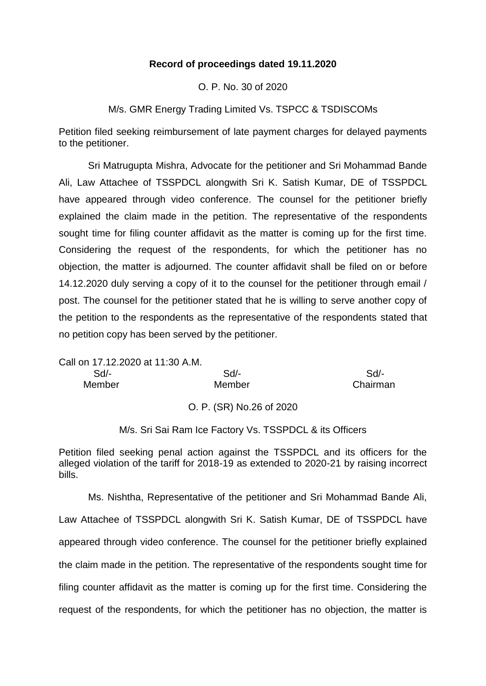# **Record of proceedings dated 19.11.2020**

O. P. No. 30 of 2020

M/s. GMR Energy Trading Limited Vs. TSPCC & TSDISCOMs

Petition filed seeking reimbursement of late payment charges for delayed payments to the petitioner.

Sri Matrugupta Mishra, Advocate for the petitioner and Sri Mohammad Bande Ali, Law Attachee of TSSPDCL alongwith Sri K. Satish Kumar, DE of TSSPDCL have appeared through video conference. The counsel for the petitioner briefly explained the claim made in the petition. The representative of the respondents sought time for filing counter affidavit as the matter is coming up for the first time. Considering the request of the respondents, for which the petitioner has no objection, the matter is adjourned. The counter affidavit shall be filed on or before 14.12.2020 duly serving a copy of it to the counsel for the petitioner through email / post. The counsel for the petitioner stated that he is willing to serve another copy of the petition to the respondents as the representative of the respondents stated that no petition copy has been served by the petitioner.

Call on 17.12.2020 at 11:30 A.M. Sd/- Sd/- Sd/- Member Member Chairman

O. P. (SR) No.26 of 2020

M/s. Sri Sai Ram Ice Factory Vs. TSSPDCL & its Officers

Petition filed seeking penal action against the TSSPDCL and its officers for the alleged violation of the tariff for 2018-19 as extended to 2020-21 by raising incorrect bills.

Ms. Nishtha, Representative of the petitioner and Sri Mohammad Bande Ali, Law Attachee of TSSPDCL alongwith Sri K. Satish Kumar, DE of TSSPDCL have appeared through video conference. The counsel for the petitioner briefly explained the claim made in the petition. The representative of the respondents sought time for filing counter affidavit as the matter is coming up for the first time. Considering the request of the respondents, for which the petitioner has no objection, the matter is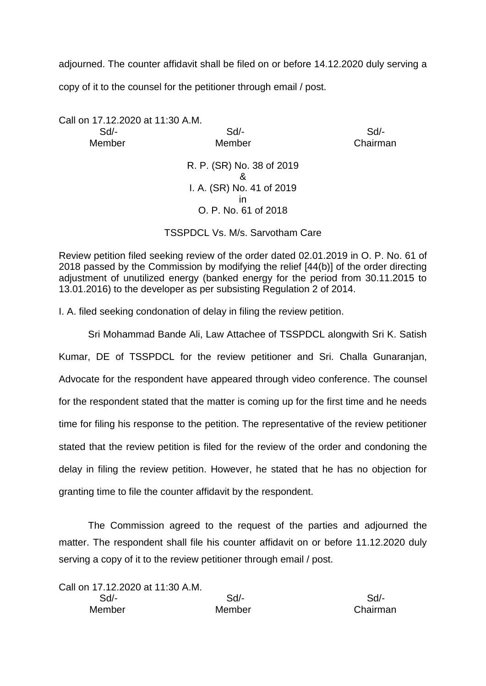adjourned. The counter affidavit shall be filed on or before 14.12.2020 duly serving a

copy of it to the counsel for the petitioner through email / post.

Call on 17.12.2020 at 11:30 A.M. Sd/- Sd/- Sd/- Member Member Chairman

R. P. (SR) No. 38 of 2019 & I. A. (SR) No. 41 of 2019 in O. P. No. 61 of 2018

TSSPDCL Vs. M/s. Sarvotham Care

Review petition filed seeking review of the order dated 02.01.2019 in O. P. No. 61 of 2018 passed by the Commission by modifying the relief [44(b)] of the order directing adjustment of unutilized energy (banked energy for the period from 30.11.2015 to 13.01.2016) to the developer as per subsisting Regulation 2 of 2014.

I. A. filed seeking condonation of delay in filing the review petition.

Sri Mohammad Bande Ali, Law Attachee of TSSPDCL alongwith Sri K. Satish Kumar, DE of TSSPDCL for the review petitioner and Sri. Challa Gunaranjan, Advocate for the respondent have appeared through video conference. The counsel for the respondent stated that the matter is coming up for the first time and he needs time for filing his response to the petition. The representative of the review petitioner stated that the review petition is filed for the review of the order and condoning the delay in filing the review petition. However, he stated that he has no objection for granting time to file the counter affidavit by the respondent.

The Commission agreed to the request of the parties and adjourned the matter. The respondent shall file his counter affidavit on or before 11.12.2020 duly serving a copy of it to the review petitioner through email / post.

Call on 17.12.2020 at 11:30 A.M. Sd/- Sd/- Sd/- Member Member Chairman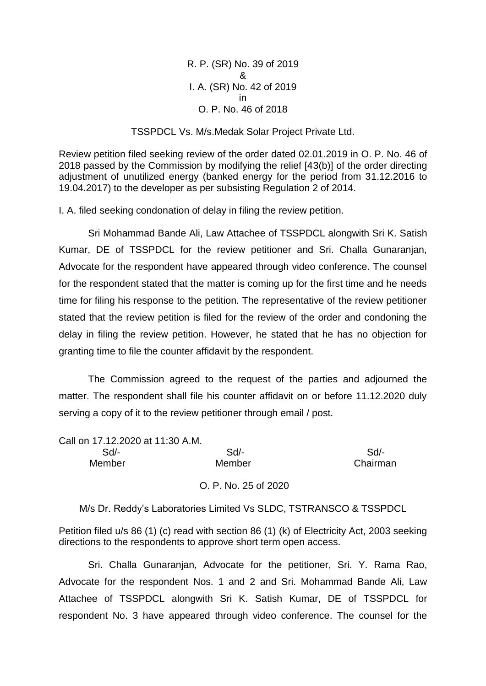R. P. (SR) No. 39 of 2019 & I. A. (SR) No. 42 of 2019 in O. P. No. 46 of 2018

### TSSPDCL Vs. M/s.Medak Solar Project Private Ltd.

Review petition filed seeking review of the order dated 02.01.2019 in O. P. No. 46 of 2018 passed by the Commission by modifying the relief [43(b)] of the order directing adjustment of unutilized energy (banked energy for the period from 31.12.2016 to 19.04.2017) to the developer as per subsisting Regulation 2 of 2014.

I. A. filed seeking condonation of delay in filing the review petition.

Sri Mohammad Bande Ali, Law Attachee of TSSPDCL alongwith Sri K. Satish Kumar, DE of TSSPDCL for the review petitioner and Sri. Challa Gunaranjan, Advocate for the respondent have appeared through video conference. The counsel for the respondent stated that the matter is coming up for the first time and he needs time for filing his response to the petition. The representative of the review petitioner stated that the review petition is filed for the review of the order and condoning the delay in filing the review petition. However, he stated that he has no objection for granting time to file the counter affidavit by the respondent.

The Commission agreed to the request of the parties and adjourned the matter. The respondent shall file his counter affidavit on or before 11.12.2020 duly serving a copy of it to the review petitioner through email / post.

Call on 17.12.2020 at 11:30 A.M.

 Sd/- Sd/- Sd/- Member Member Chairman

O. P. No. 25 of 2020

M/s Dr. Reddy's Laboratories Limited Vs SLDC, TSTRANSCO & TSSPDCL

Petition filed u/s 86 (1) (c) read with section 86 (1) (k) of Electricity Act, 2003 seeking directions to the respondents to approve short term open access.

Sri. Challa Gunaranjan, Advocate for the petitioner, Sri. Y. Rama Rao, Advocate for the respondent Nos. 1 and 2 and Sri. Mohammad Bande Ali, Law Attachee of TSSPDCL alongwith Sri K. Satish Kumar, DE of TSSPDCL for respondent No. 3 have appeared through video conference. The counsel for the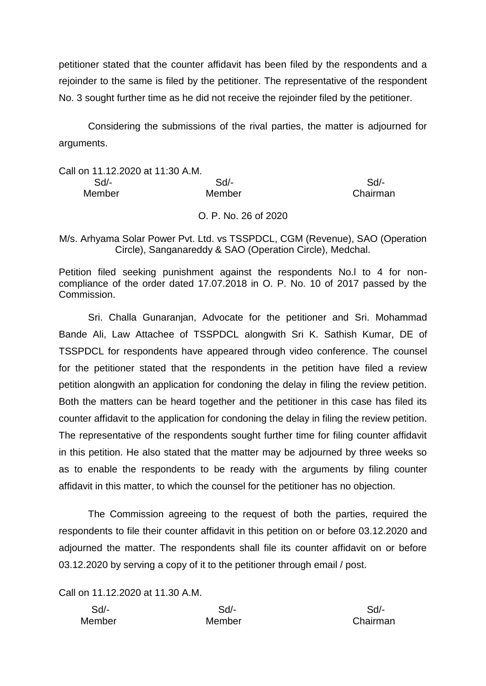petitioner stated that the counter affidavit has been filed by the respondents and a rejoinder to the same is filed by the petitioner. The representative of the respondent No. 3 sought further time as he did not receive the rejoinder filed by the petitioner.

Considering the submissions of the rival parties, the matter is adjourned for arguments.

# Call on 11.12.2020 at 11:30 A.M. Sd/- Sd/- Sd/- Member Member **Member** Chairman

O. P. No. 26 of 2020

M/s. Arhyama Solar Power Pvt. Ltd. vs TSSPDCL, CGM (Revenue), SAO (Operation Circle), Sanganareddy & SAO (Operation Circle), Medchal.

Petition filed seeking punishment against the respondents No.l to 4 for noncompliance of the order dated 17.07.2018 in O. P. No. 10 of 2017 passed by the Commission.

Sri. Challa Gunaranjan, Advocate for the petitioner and Sri. Mohammad Bande Ali, Law Attachee of TSSPDCL alongwith Sri K. Sathish Kumar, DE of TSSPDCL for respondents have appeared through video conference. The counsel for the petitioner stated that the respondents in the petition have filed a review petition alongwith an application for condoning the delay in filing the review petition. Both the matters can be heard together and the petitioner in this case has filed its counter affidavit to the application for condoning the delay in filing the review petition. The representative of the respondents sought further time for filing counter affidavit in this petition. He also stated that the matter may be adjourned by three weeks so as to enable the respondents to be ready with the arguments by filing counter affidavit in this matter, to which the counsel for the petitioner has no objection.

The Commission agreeing to the request of both the parties, required the respondents to file their counter affidavit in this petition on or before 03.12.2020 and adjourned the matter. The respondents shall file its counter affidavit on or before 03.12.2020 by serving a copy of it to the petitioner through email / post.

Call on 11.12.2020 at 11.30 A.M.

| Sd/-   | $Sd$ - | Sd/-   |
|--------|--------|--------|
| Member | Member | Chairm |

Chairman